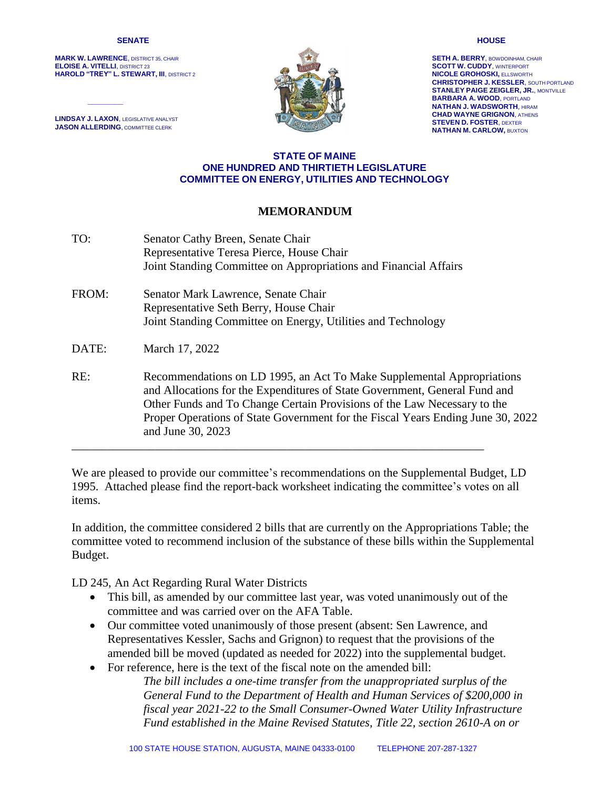#### **SENATE**

**MARK W. LAWRENCE**, DISTRICT 35, CHAIR **ELOISE A. VITELLI**, DISTRICT 23 **HAROLD "TREY" L. STEWART, III**, DISTRICT 2

**LINDSAY J. LAXON**, LEGISLATIVE ANALYST **JASON ALLERDING**, COMMITTEE CLERK

*\_\_\_\_\_\_\_\_*



**SETH A. BERRY**, BOWDOINHAM, CHAIR **SCOTT W. CUDDY**, WINTERPORT **NICOLE GROHOSKI,** ELLSWORTH **CHRISTOPHER J. KESSLER**, SOUTH PORTLAND **STANLEY PAIGE ZEIGLER, JR.**, MONTVILLE **BARBARA A. WOOD**, PORTLAND **NATHAN J. WADSWORTH**, HIRAM **CHAD WAYNE GRIGNON**, ATHENS **STEVEN D. FOSTER**, DEXTER **NATHAN M. CARLOW,** BUXTON

## **STATE OF MAINE ONE HUNDRED AND THIRTIETH LEGISLATURE COMMITTEE ON ENERGY, UTILITIES AND TECHNOLOGY**

## **MEMORANDUM**

TO: Senator Cathy Breen, Senate Chair Representative Teresa Pierce, House Chair Joint Standing Committee on Appropriations and Financial Affairs FROM: Senator Mark Lawrence, Senate Chair Representative Seth Berry, House Chair Joint Standing Committee on Energy, Utilities and Technology DATE: March 17, 2022 RE: Recommendations on LD 1995, an Act To Make Supplemental Appropriations and Allocations for the Expenditures of State Government, General Fund and Other Funds and To Change Certain Provisions of the Law Necessary to the Proper Operations of State Government for the Fiscal Years Ending June 30, 2022 and June 30, 2023 \_\_\_\_\_\_\_\_\_\_\_\_\_\_\_\_\_\_\_\_\_\_\_\_\_\_\_\_\_\_\_\_\_\_\_\_\_\_\_\_\_\_\_\_\_\_\_\_\_\_\_\_\_\_\_\_\_\_\_\_\_\_\_\_\_\_\_\_\_

We are pleased to provide our committee's recommendations on the Supplemental Budget, LD 1995. Attached please find the report-back worksheet indicating the committee's votes on all items.

In addition, the committee considered 2 bills that are currently on the Appropriations Table; the committee voted to recommend inclusion of the substance of these bills within the Supplemental Budget.

LD 245, An Act Regarding Rural Water Districts

- This bill, as amended by our committee last year, was voted unanimously out of the committee and was carried over on the AFA Table.
- Our committee voted unanimously of those present (absent: Sen Lawrence, and Representatives Kessler, Sachs and Grignon) to request that the provisions of the amended bill be moved (updated as needed for 2022) into the supplemental budget.
- For reference, here is the text of the fiscal note on the amended bill:

*The bill includes a one-time transfer from the unappropriated surplus of the General Fund to the Department of Health and Human Services of \$200,000 in fiscal year 2021-22 to the Small Consumer-Owned Water Utility Infrastructure Fund established in the Maine Revised Statutes, Title 22, section 2610-A on or* 

#### **HOUSE**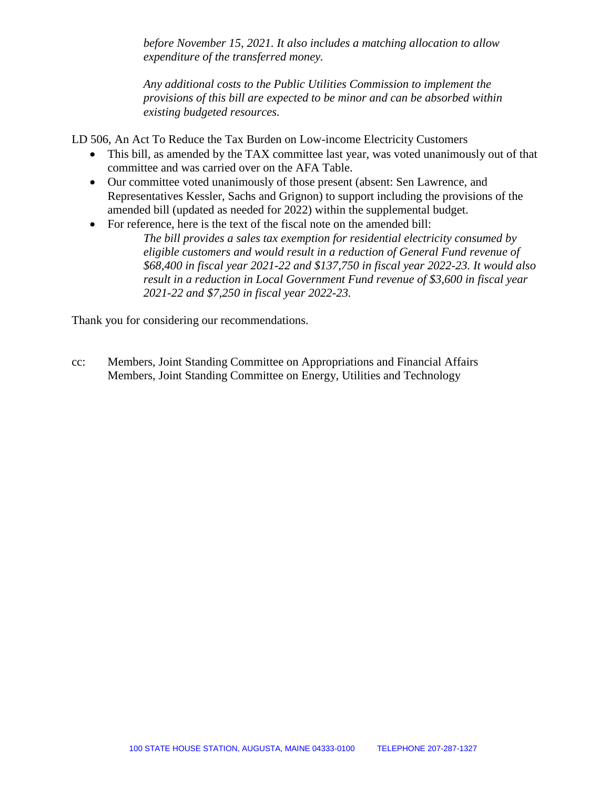*before November 15, 2021. It also includes a matching allocation to allow expenditure of the transferred money.*

*Any additional costs to the Public Utilities Commission to implement the provisions of this bill are expected to be minor and can be absorbed within existing budgeted resources.*

LD 506, An Act To Reduce the Tax Burden on Low-income Electricity Customers

- This bill, as amended by the TAX committee last year, was voted unanimously out of that committee and was carried over on the AFA Table.
- Our committee voted unanimously of those present (absent: Sen Lawrence, and Representatives Kessler, Sachs and Grignon) to support including the provisions of the amended bill (updated as needed for 2022) within the supplemental budget.
- For reference, here is the text of the fiscal note on the amended bill:
	- *The bill provides a sales tax exemption for residential electricity consumed by eligible customers and would result in a reduction of General Fund revenue of \$68,400 in fiscal year 2021-22 and \$137,750 in fiscal year 2022-23. It would also result in a reduction in Local Government Fund revenue of \$3,600 in fiscal year 2021-22 and \$7,250 in fiscal year 2022-23.*

Thank you for considering our recommendations.

cc: Members, Joint Standing Committee on Appropriations and Financial Affairs Members, Joint Standing Committee on Energy, Utilities and Technology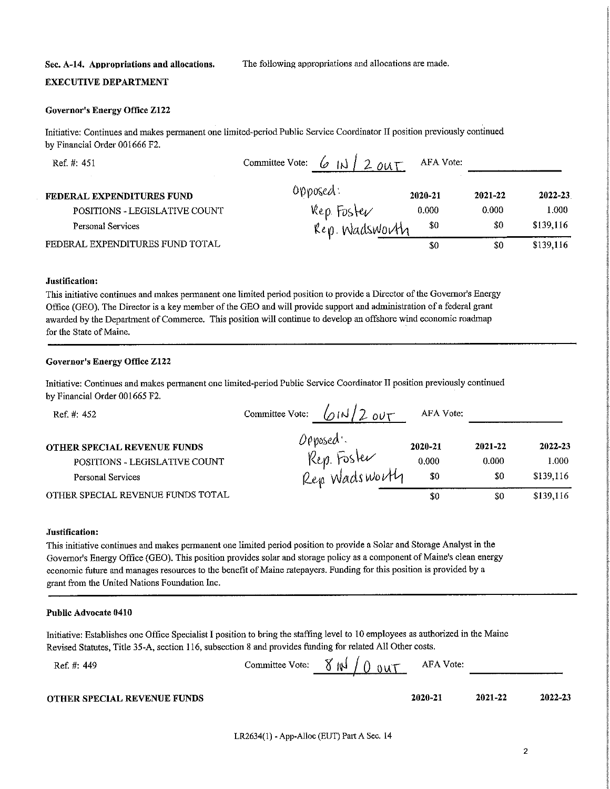#### Sec. A-14. Appropriations and allocations.

The following appropriations and allocations are made.

## **EXECUTIVE DEPARTMENT**

#### **Governor's Energy Office Z122**

Initiative: Continues and makes permanent one limited-period Public Service Coordinator II position previously continued by Financial Order 001666 F2.

| Ref. #: 451                     | Committee Vote:<br>$.2$ out<br>lo | AFA Vote: |         |           |
|---------------------------------|-----------------------------------|-----------|---------|-----------|
| FEDERAL EXPENDITURES FUND       | $0$ pposed:                       | 2020-21   | 2021-22 | 2022-23   |
| POSITIONS - LEGISLATIVE COUNT   | Rep. Foster                       | 0.000     | 0.000   | 1.000     |
| <b>Personal Services</b>        | Rep. Wadsworth                    | -80       | \$0     | \$139,116 |
| FEDERAL EXPENDITURES FUND TOTAL |                                   | \$0       | \$0     | \$139,116 |

#### Justification:

This initiative continues and makes permanent one limited period position to provide a Director of the Governor's Energy Office (GEO). The Director is a key member of the GEO and will provide support and administration of a federal grant awarded by the Department of Commerce. This position will continue to develop an offshore wind economic roadmap for the State of Maine.

## **Governor's Energy Office Z122**

Initiative: Continues and makes permanent one limited-period Public Service Coordinator II position previously continued by Financial Order 001665 F2.

| Ref. #: 452                                                                              | Committee Vote:<br>OUT<br>$M_{\odot}$    | AFA Vote:               |                         |                               |
|------------------------------------------------------------------------------------------|------------------------------------------|-------------------------|-------------------------|-------------------------------|
| <b>OTHER SPECIAL REVENUE FUNDS</b><br>POSITIONS - LEGISLATIVE COUNT<br>Personal Services | Opposed.<br>Rep. Foster<br>Rep Wadsworth | 2020-21<br>0.000<br>\$0 | 2021-22<br>0.000<br>\$0 | 2022-23<br>1.000<br>\$139,116 |
| OTHER SPECIAL REVENUE FUNDS TOTAL                                                        |                                          | \$0                     | \$0                     | \$139,116                     |

#### Justification:

This initiative continues and makes permanent one limited period position to provide a Solar and Storage Analyst in the Governor's Energy Office (GEO). This position provides solar and storage policy as a component of Maine's clean energy economic future and manages resources to the benefit of Maine ratepayers. Funding for this position is provided by a grant from the United Nations Foundation Inc.

#### Public Advocate 0410

Ref. #: 449

Initiative: Establishes one Office Specialist I position to bring the staffing level to 10 employees as authorized in the Maine Revised Statutes, Title 35-A, section 116, subsection 8 and provides funding for related All Other costs.

| Committee Vote: $\delta$ $\mathbb{N}$ $\ell$ $\delta$ $\delta$ $\mathbb{N}$ $\mathbb{N}$ |  | AFA Vote: |  |
|------------------------------------------------------------------------------------------|--|-----------|--|
|------------------------------------------------------------------------------------------|--|-----------|--|

2020-21

#### **OTHER SPECIAL REVENUE FUNDS**

LR2634(1) - App-Alloc (EUT) Part A Sec. 14

2022-23

2021-22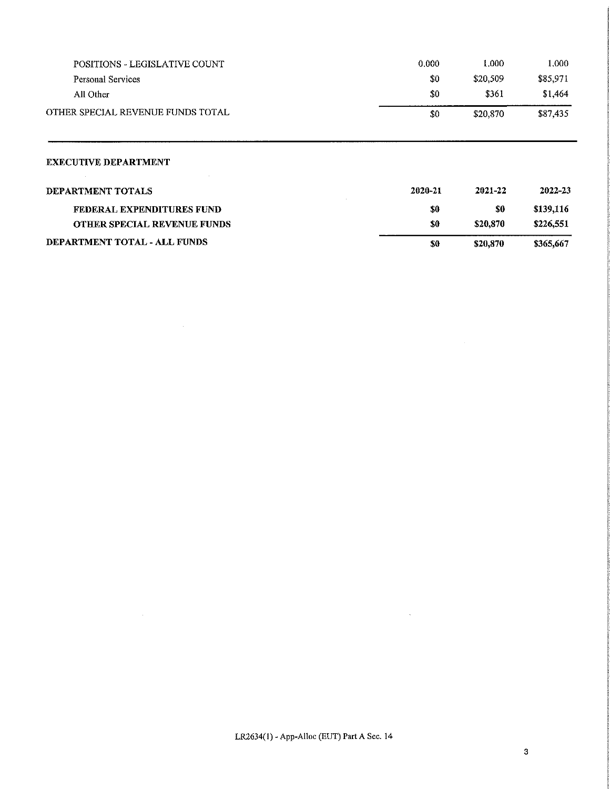| <b>POSITIONS - LEGISLATIVE COUNT</b> | 0.000   | 1.000    | 1.000     |
|--------------------------------------|---------|----------|-----------|
| Personal Services                    | \$0     | \$20,509 | \$85,971  |
| All Other                            | \$0     | \$361    | \$1,464   |
| OTHER SPECIAL REVENUE FUNDS TOTAL    | \$0     | \$20,870 | \$87,435  |
| <b>EXECUTIVE DEPARTMENT</b>          |         |          |           |
| <b>DEPARTMENT TOTALS</b>             | 2020-21 | 2021-22  | 2022-23   |
| FEDERAL EXPENDITURES FUND            | \$0     | \$0      | \$139,116 |
| OTHER SPECIAL REVENUE FUNDS          | S0      | \$20,870 | \$226,551 |

 $$0$$ 

 $\sim$   $\sim$ 

\$20,870

\$365,667

## DEPARTMENT TOTAL - ALL FUNDS

LR2634(1) - App-Alloc (EUT) Part A Sec. 14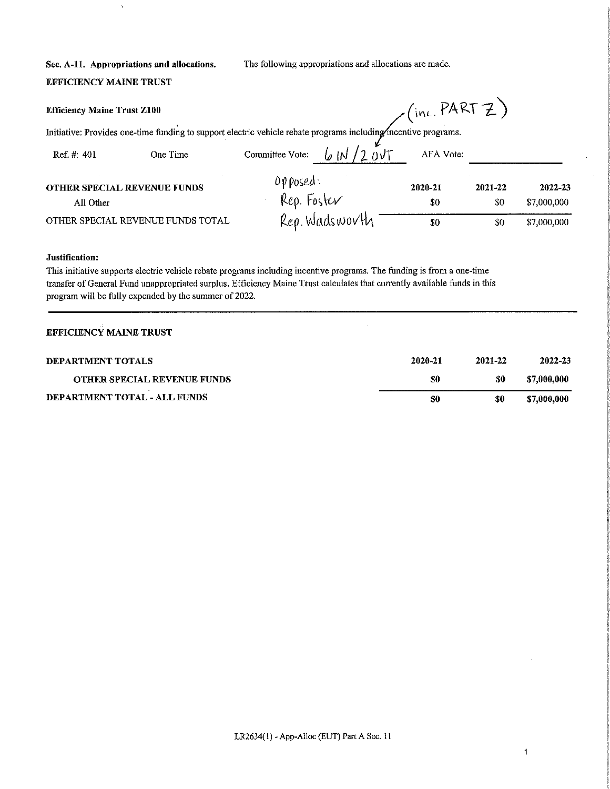The following appropriations and allocations are made.

# Sec. A-11. Appropriations and allocations. **EFFICIENCY MAINE TRUST**

 $\bar{\rm t}$ 

| <b>Efficiency Maine Trust Z100</b> |                                                                                                                 |                         |                | $\mathcal{L}$ (inc. PARTZ) |                |                        |
|------------------------------------|-----------------------------------------------------------------------------------------------------------------|-------------------------|----------------|----------------------------|----------------|------------------------|
|                                    | Initiative: Provides one-time funding to support electric vehicle rebate programs including incentive programs. |                         |                |                            |                |                        |
| Ref. $#: 401$                      | One Time                                                                                                        | Committee Vote:         |                | AFA Vote:                  |                |                        |
| All Other                          | <b>OTHER SPECIAL REVENUE FUNDS</b>                                                                              | opposed:<br>Rep. Foster |                | 2020-21<br>-50             | 2021-22<br>\$0 | 2022-23<br>\$7,000,000 |
| OTHER SPECIAL REVENUE FUNDS TOTAL  |                                                                                                                 |                         | Rep. Wadsworth | -80                        | \$0            | \$7,000,000            |

## Justification:

This initiative supports electric vehicle rebate programs including incentive programs. The funding is from a one-time transfer of General Fund unappropriated surplus. Efficiency Maine Trust calculates that currently available funds in this program will be fully expended by the summer of 2022.

## **EFFICIENCY MAINE TRUST**

| DEPARTMENT TOTALS                  | 2020-21 | 2021-22 | 2022-23     |
|------------------------------------|---------|---------|-------------|
| <b>OTHER SPECIAL REVENUE FUNDS</b> | S0      | \$0     | \$7,000,000 |
| DEPARTMENT TOTAL - ALL FUNDS       | 50      | \$0     | \$7,000,000 |

 $\mathbf{1}$